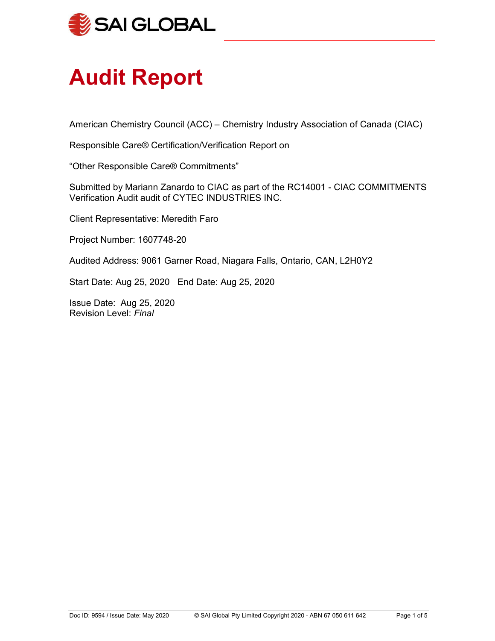

# Audit Report

American Chemistry Council (ACC) – Chemistry Industry Association of Canada (CIAC)

L

Responsible Care® Certification/Verification Report on

"Other Responsible Care® Commitments"

Submitted by Mariann Zanardo to CIAC as part of the RC14001 - CIAC COMMITMENTS Verification Audit audit of CYTEC INDUSTRIES INC.

Client Representative: Meredith Faro

Project Number: 1607748-20

Audited Address: 9061 Garner Road, Niagara Falls, Ontario, CAN, L2H0Y2

Start Date: Aug 25, 2020 End Date: Aug 25, 2020

Issue Date: Aug 25, 2020 Revision Level: Final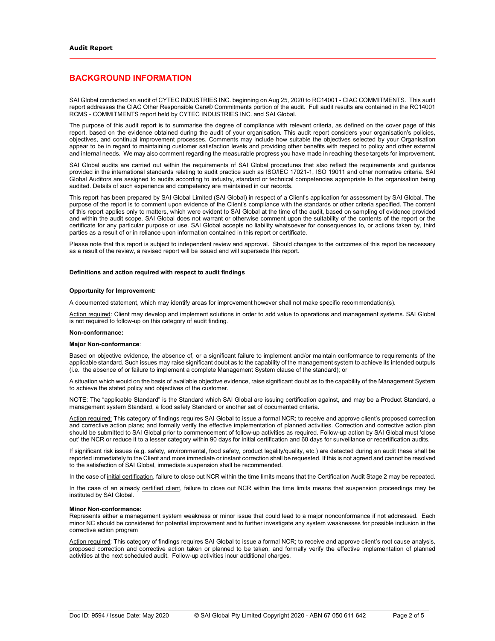# BACKGROUND INFORMATION

SAI Global conducted an audit of CYTEC INDUSTRIES INC. beginning on Aug 25, 2020 to RC14001 - CIAC COMMITMENTS. This audit report addresses the CIAC Other Responsible Care® Commitments portion of the audit. Full audit results are contained in the RC14001 RCMS - COMMITMENTS report held by CYTEC INDUSTRIES INC. and SAI Global.

The purpose of this audit report is to summarise the degree of compliance with relevant criteria, as defined on the cover page of this report, based on the evidence obtained during the audit of your organisation. This audit report considers your organisation's policies, objectives, and continual improvement processes. Comments may include how suitable the objectives selected by your Organisation appear to be in regard to maintaining customer satisfaction levels and providing other benefits with respect to policy and other external and internal needs. We may also comment regarding the measurable progress you have made in reaching these targets for improvement.

SAI Global audits are carried out within the requirements of SAI Global procedures that also reflect the requirements and guidance provided in the international standards relating to audit practice such as ISO/IEC 17021-1, ISO 19011 and other normative criteria. SAI Global Auditors are assigned to audits according to industry, standard or technical competencies appropriate to the organisation being audited. Details of such experience and competency are maintained in our records.

This report has been prepared by SAI Global Limited (SAI Global) in respect of a Client's application for assessment by SAI Global. The purpose of the report is to comment upon evidence of the Client's compliance with the standards or other criteria specified. The content of this report applies only to matters, which were evident to SAI Global at the time of the audit, based on sampling of evidence provided and within the audit scope. SAI Global does not warrant or otherwise comment upon the suitability of the contents of the report or the certificate for any particular purpose or use. SAI Global accepts no liability whatsoever for consequences to, or actions taken by, third parties as a result of or in reliance upon information contained in this report or certificate.

Please note that this report is subject to independent review and approval. Should changes to the outcomes of this report be necessary as a result of the review, a revised report will be issued and will supersede this report.

#### Definitions and action required with respect to audit findings

#### Opportunity for Improvement:

A documented statement, which may identify areas for improvement however shall not make specific recommendation(s).

Action required: Client may develop and implement solutions in order to add value to operations and management systems. SAI Global is not required to follow-up on this category of audit finding.

#### Non-conformance:

#### Major Non-conformance:

Based on objective evidence, the absence of, or a significant failure to implement and/or maintain conformance to requirements of the applicable standard. Such issues may raise significant doubt as to the capability of the management system to achieve its intended outputs (i.e. the absence of or failure to implement a complete Management System clause of the standard); or

A situation which would on the basis of available objective evidence, raise significant doubt as to the capability of the Management System to achieve the stated policy and objectives of the customer.

NOTE: The "applicable Standard" is the Standard which SAI Global are issuing certification against, and may be a Product Standard, a management system Standard, a food safety Standard or another set of documented criteria.

Action required: This category of findings requires SAI Global to issue a formal NCR; to receive and approve client's proposed correction and corrective action plans; and formally verify the effective implementation of planned activities. Correction and corrective action plan should be submitted to SAI Global prior to commencement of follow-up activities as required. Follow-up action by SAI Global must 'close out' the NCR or reduce it to a lesser category within 90 days for initial certification and 60 days for surveillance or recertification audits.

If significant risk issues (e.g. safety, environmental, food safety, product legality/quality, etc.) are detected during an audit these shall be reported immediately to the Client and more immediate or instant correction shall be requested. If this is not agreed and cannot be resolved to the satisfaction of SAI Global, immediate suspension shall be recommended.

In the case of initial certification, failure to close out NCR within the time limits means that the Certification Audit Stage 2 may be repeated.

In the case of an already certified client, failure to close out NCR within the time limits means that suspension proceedings may be instituted by SAI Global.

#### Minor Non-conformance:

Represents either a management system weakness or minor issue that could lead to a major nonconformance if not addressed. Each minor NC should be considered for potential improvement and to further investigate any system weaknesses for possible inclusion in the corrective action program

Action required: This category of findings requires SAI Global to issue a formal NCR; to receive and approve client's root cause analysis, proposed correction and corrective action taken or planned to be taken; and formally verify the effective implementation of planned activities at the next scheduled audit. Follow-up activities incur additional charges.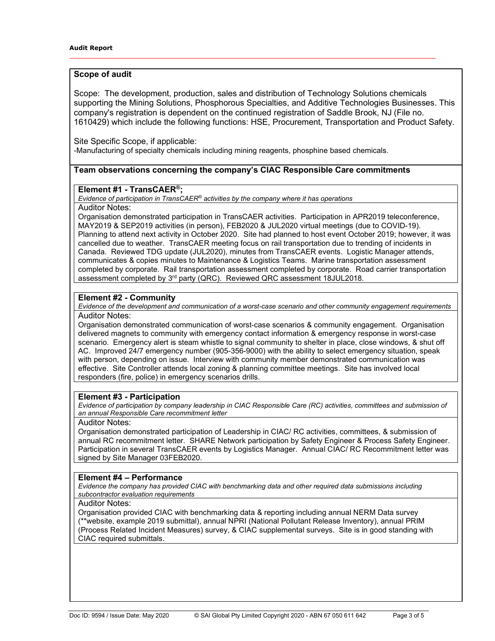## Scope of audit

Scope: The development, production, sales and distribution of Technology Solutions chemicals supporting the Mining Solutions, Phosphorous Specialties, and Additive Technologies Businesses. This company's registration is dependent on the continued registration of Saddle Brook, NJ (File no. 1610429) which include the following functions: HSE, Procurement, Transportation and Product Safety.

Site Specific Scope, if applicable: -Manufacturing of specialty chemicals including mining reagents, phosphine based chemicals.

## Team observations concerning the company's CIAC Responsible Care commitments

# Element #1 - TransCAER<sup>®</sup>;

Evidence of participation in TransCAER<sup>®</sup> activities by the company where it has operations Auditor Notes:

Organisation demonstrated participation in TransCAER activities. Participation in APR2019 teleconference, MAY2019 & SEP2019 activities (in person), FEB2020 & JUL2020 virtual meetings (due to COVID-19). Planning to attend next activity in October 2020. Site had planned to host event October 2019; however, it was cancelled due to weather. TransCAER meeting focus on rail transportation due to trending of incidents in Canada. Reviewed TDG update (JUL2020), minutes from TransCAER events. Logistic Manager attends, communicates & copies minutes to Maintenance & Logistics Teams. Marine transportation assessment completed by corporate. Rail transportation assessment completed by corporate. Road carrier transportation assessment completed by 3<sup>rd</sup> party (QRC). Reviewed QRC assessment 18JUL2018.

## Element #2 - Community

Evidence of the development and communication of a worst-case scenario and other community engagement requirements Auditor Notes:

Organisation demonstrated communication of worst-case scenarios & community engagement. Organisation delivered magnets to community with emergency contact information & emergency response in worst-case scenario. Emergency alert is steam whistle to signal community to shelter in place, close windows, & shut off AC. Improved 24/7 emergency number (905-356-9000) with the ability to select emergency situation, speak with person, depending on issue. Interview with community member demonstrated communication was effective. Site Controller attends local zoning & planning committee meetings. Site has involved local responders (fire, police) in emergency scenarios drills.

## Element #3 - Participation

Evidence of participation by company leadership in CIAC Responsible Care (RC) activities, committees and submission of an annual Responsible Care recommitment letter

#### Auditor Notes:

Organisation demonstrated participation of Leadership in CIAC/ RC activities, committees, & submission of annual RC recommitment letter. SHARE Network participation by Safety Engineer & Process Safety Engineer. Participation in several TransCAER events by Logistics Manager. Annual CIAC/ RC Recommitment letter was signed by Site Manager 03FEB2020.

## Element #4 – Performance

Evidence the company has provided CIAC with benchmarking data and other required data submissions including subcontractor evaluation requirements

#### Auditor Notes:

Organisation provided CIAC with benchmarking data & reporting including annual NERM Data survey (\*\*website, example 2019 submittal), annual NPRI (National Pollutant Release Inventory), annual PRIM (Process Related Incident Measures) survey, & CIAC supplemental surveys. Site is in good standing with CIAC required submittals.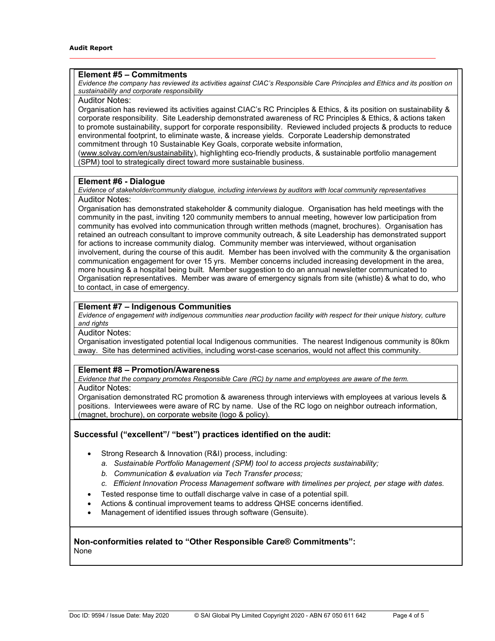## Element #5 – Commitments

Evidence the company has reviewed its activities against CIAC's Responsible Care Principles and Ethics and its position on sustainability and corporate responsibility

Auditor Notes:

Organisation has reviewed its activities against CIAC's RC Principles & Ethics, & its position on sustainability & corporate responsibility. Site Leadership demonstrated awareness of RC Principles & Ethics, & actions taken to promote sustainability, support for corporate responsibility. Reviewed included projects & products to reduce environmental footprint, to eliminate waste, & increase yields. Corporate Leadership demonstrated commitment through 10 Sustainable Key Goals, corporate website information,

(www.solvay.com/en/sustainability), highlighting eco-friendly products, & sustainable portfolio management (SPM) tool to strategically direct toward more sustainable business.

#### Element #6 - Dialogue

Evidence of stakeholder/community dialogue, including interviews by auditors with local community representatives Auditor Notes:

Organisation has demonstrated stakeholder & community dialogue. Organisation has held meetings with the community in the past, inviting 120 community members to annual meeting, however low participation from community has evolved into communication through written methods (magnet, brochures). Organisation has retained an outreach consultant to improve community outreach, & site Leadership has demonstrated support for actions to increase community dialog. Community member was interviewed, without organisation involvement, during the course of this audit. Member has been involved with the community & the organisation communication engagement for over 15 yrs. Member concerns included increasing development in the area, more housing & a hospital being built. Member suggestion to do an annual newsletter communicated to Organisation representatives. Member was aware of emergency signals from site (whistle) & what to do, who to contact, in case of emergency.

## Element #7 – Indigenous Communities

Evidence of engagement with indigenous communities near production facility with respect for their unique history, culture and rights

#### Auditor Notes:

Organisation investigated potential local Indigenous communities. The nearest Indigenous community is 80km away. Site has determined activities, including worst-case scenarios, would not affect this community.

## Element #8 – Promotion/Awareness

Evidence that the company promotes Responsible Care (RC) by name and employees are aware of the term.

#### Auditor Notes:

Organisation demonstrated RC promotion & awareness through interviews with employees at various levels & positions. Interviewees were aware of RC by name. Use of the RC logo on neighbor outreach information, (magnet, brochure), on corporate website (logo & policy).

## Successful ("excellent"/ "best") practices identified on the audit:

- Strong Research & Innovation (R&I) process, including:
	- a. Sustainable Portfolio Management (SPM) tool to access projects sustainability;
	- b. Communication & evaluation via Tech Transfer process;
	- c. Efficient Innovation Process Management software with timelines per project, per stage with dates.
- Tested response time to outfall discharge valve in case of a potential spill.
- Actions & continual improvement teams to address QHSE concerns identified.
- Management of identified issues through software (Gensuite).

# Non-conformities related to "Other Responsible Care® Commitments":

None